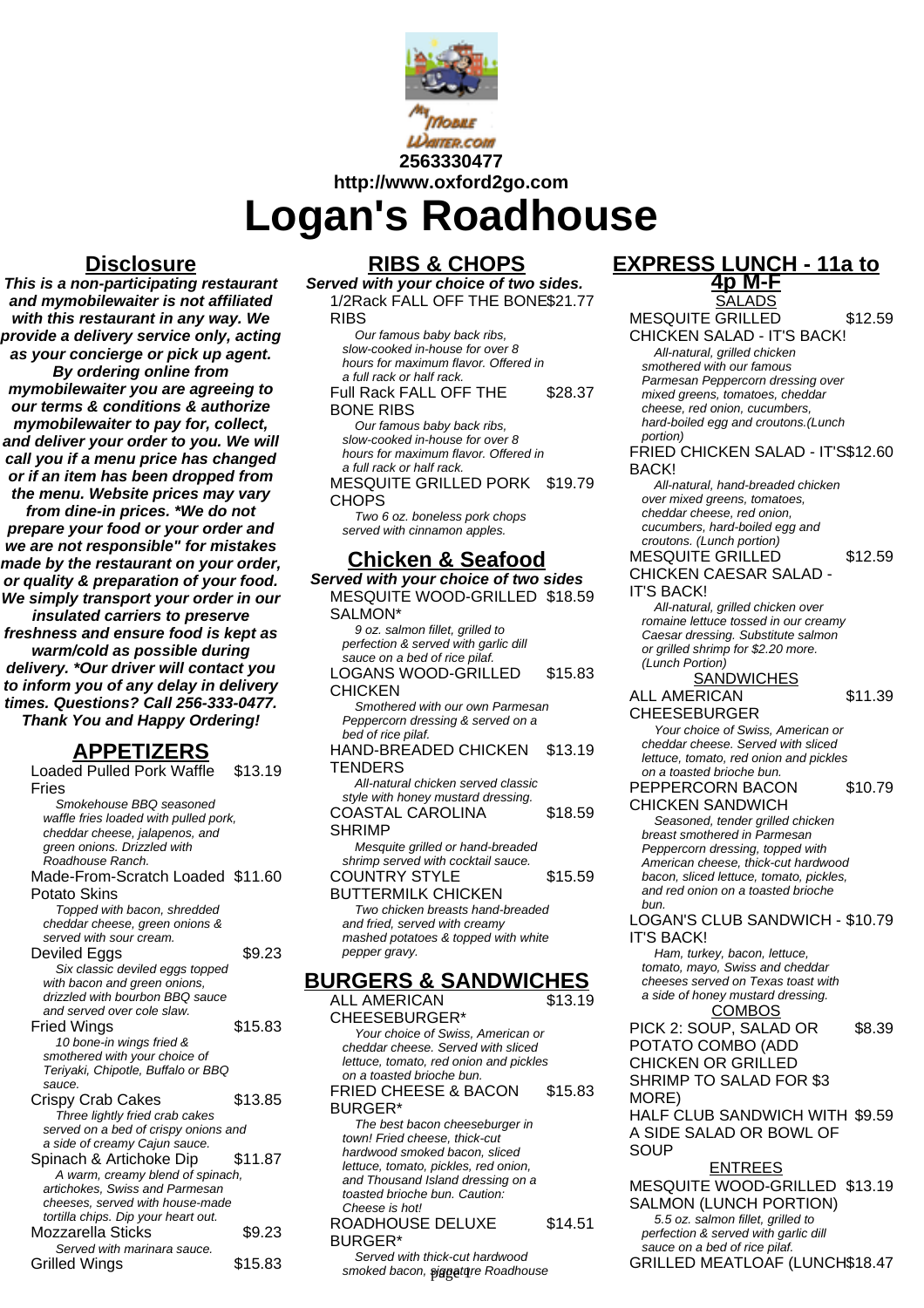

**2563330477**

**http://www.oxford2go.com**

**Logan's Roadhouse**

## **Disclosure**

**This is a non-participating restaurant and mymobilewaiter is not affiliated with this restaurant in any way. We provide a delivery service only, acting as your concierge or pick up agent. By ordering online from mymobilewaiter you are agreeing to our terms & conditions & authorize mymobilewaiter to pay for, collect, and deliver your order to you. We will call you if a menu price has changed or if an item has been dropped from the menu. Website prices may vary from dine-in prices. \*We do not prepare your food or your order and we are not responsible" for mistakes made by the restaurant on your order, or quality & preparation of your food. We simply transport your order in our insulated carriers to preserve freshness and ensure food is kept as warm/cold as possible during delivery. \*Our driver will contact you to inform you of any delay in delivery times. Questions? Call 256-333-0477. Thank You and Happy Ordering!**

# **APPETIZERS**

Loaded Pulled Pork Waffle Fries \$13.19 Smokehouse BBQ seasoned waffle fries loaded with pulled pork, cheddar cheese, jalapenos, and green onions. Drizzled with Roadhouse Ranch. Made-From-Scratch Loaded \$11.60 Potato Skins Topped with bacon, shredded cheddar cheese, green onions & served with sour cream. Deviled Eggs \$9.23 Six classic deviled eggs topped with bacon and green onions, drizzled with bourbon BBQ sauce and served over cole slaw. Fried Wings \$15.83 10 bone-in wings fried & smothered with your choice of Teriyaki, Chipotle, Buffalo or BBQ sauce. Crispy Crab Cakes \$13.85 Three lightly fried crab cakes served on a bed of crispy onions and a side of creamy Cajun sauce. Spinach & Artichoke Dip \$11.87 A warm, creamy blend of spinach, artichokes, Swiss and Parmesan cheeses, served with house-made tortilla chips. Dip your heart out. Mozzarella Sticks \$9.23 Served with marinara sauce. Grilled Wings \$15.83

## **RIBS & CHOPS**

**Served with your choice of two sides.** 1/2Rack FALL OFF THE BONE \$21.77 **RIBS** 

Our famous baby back ribs, slow-cooked in-house for over 8 hours for maximum flavor. Offered in a full rack or half rack.

#### Full Rack FALL OFF THE BONE RIBS \$28.37

Our famous baby back ribs, slow-cooked in-house for over 8 hours for maximum flavor. Offered in a full rack or half rack.

MESQUITE GRILLED PORK **CHOPS** \$19.79 Two 6 oz. boneless pork chops

served with cinnamon apples.

# **Chicken & Seafood**

**Served with your choice of two sides** MESQUITE WOOD-GRILLED \$18.59 SALMON\* 9 oz. salmon fillet, grilled to perfection & served with garlic dill sauce on a bed of rice pilaf. LOGANS WOOD-GRILLED CHICKEN \$15.83 Smothered with our own Parmesan Peppercorn dressing & served on a bed of rice pilaf. HAND-BREADED CHICKEN **TENDERS** \$13.19 All-natural chicken served classic style with honey mustard dressing. COASTAL CAROLINA SHRIMP \$18.59 Mesquite grilled or hand-breaded shrimp served with cocktail sauce. COUNTRY STYLE BUTTERMILK CHICKEN \$15.59 Two chicken breasts hand-breaded and fried, served with creamy mashed potatoes & topped with white pepper gravy. **BURGERS & SANDWICHES** ALL AMERICAN CHEESEBURGER\* \$13.19 Your choice of Swiss, American or cheddar cheese. Served with sliced lettuce, tomato, red onion and pickles

on a toasted brioche bun. FRIED CHEESE & BACON BURGER\* \$15.83

The best bacon cheeseburger in town! Fried cheese, thick-cut hardwood smoked bacon, sliced lettuce, tomato, pickles, red onion, and Thousand Island dressing on a toasted brioche bun. Caution: Cheese is hot! ROADHOUSE DELUXE \$14.51

### BURGER\* Served with thick-cut hardwood

smoked bacon, signature Roadhouse

## **EXPRESS LUNCH - 11a to**

**4p M-F** SALADS MESQUITE GRILLED CHICKEN SALAD - IT'S BACK! \$12.59 All-natural, grilled chicken smothered with our famous Parmesan Peppercorn dressing over mixed greens, tomatoes, cheddar cheese, red onion, cucumbers, hard-boiled egg and croutons.(Lunch portion) FRIED CHICKEN SALAD - IT'S \$12.60 BACK! All-natural, hand-breaded chicken over mixed greens, tomatoes, cheddar cheese, red onion, cucumbers, hard-boiled egg and croutons. (Lunch portion) MESQUITE GRILLED CHICKEN CAESAR SALAD - IT'S BACK! \$12.59 All-natural, grilled chicken over romaine lettuce tossed in our creamy Caesar dressing. Substitute salmon or grilled shrimp for \$2.20 more. (Lunch Portion) **SANDWICHES** ALL AMERICAN CHEESEBURGER \$11.39 Your choice of Swiss, American or cheddar cheese. Served with sliced lettuce, tomato, red onion and pickles on a toasted brioche bun. PEPPERCORN BACON CHICKEN SANDWICH \$10.79 Seasoned, tender grilled chicken breast smothered in Parmesan Peppercorn dressing, topped with American cheese, thick-cut hardwood bacon, sliced lettuce, tomato, pickles, and red onion on a toasted brioche bun. LOGAN'S CLUB SANDWICH - \$10.79 IT'S BACK! Ham, turkey, bacon, lettuce, tomato, mayo, Swiss and cheddar cheeses served on Texas toast with a side of honey mustard dressing. **COMBOS** PICK 2: SOUP, SALAD OR POTATO COMBO (ADD CHICKEN OR GRILLED SHRIMP TO SALAD FOR \$3 MORE) \$8.39 HALF CLUB SANDWICH WITH \$9.59 A SIDE SALAD OR BOWL OF **SOUP** 

ENTREES MESQUITE WOOD-GRILLED \$13.19 SALMON (LUNCH PORTION) 5.5 oz. salmon fillet, grilled to perfection & served with garlic dill sauce on a bed of rice pilaf. GRILLED MEATLOAF (LUNCH\$18.47